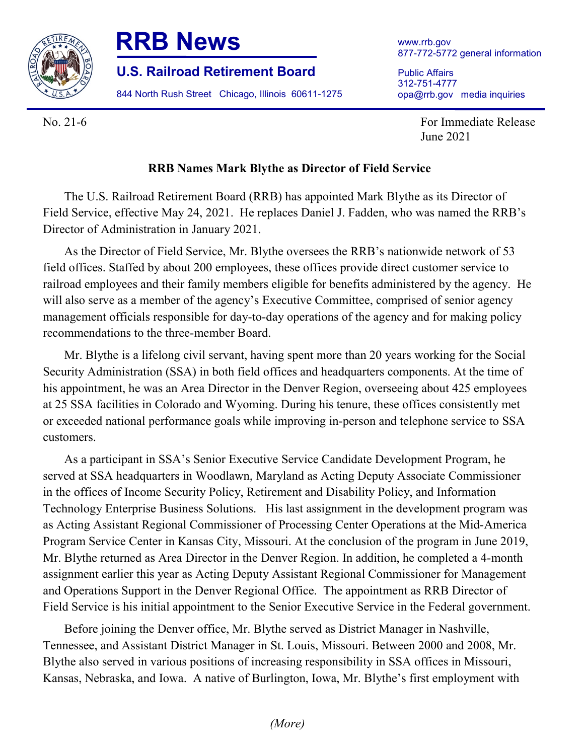

## **RRB News**

**U.S. Railroad Retirement Board**

844 North Rush Street Chicago, Illinois 60611-1275

Public Affairs 312-751-4777 opa@rrb.gov media inquiries

No. 21-6 For Immediate Release June 2021

## **RRB Names Mark Blythe as Director of Field Service**

The U.S. Railroad Retirement Board (RRB) has appointed Mark Blythe as its Director of Field Service, effective May 24, 2021. He replaces Daniel J. Fadden, who was named the RRB's Director of Administration in January 2021.

As the Director of Field Service, Mr. Blythe oversees the RRB's nationwide network of 53 field offices. Staffed by about 200 employees, these offices provide direct customer service to railroad employees and their family members eligible for benefits administered by the agency. He will also serve as a member of the agency's Executive Committee, comprised of senior agency management officials responsible for day-to-day operations of the agency and for making policy recommendations to the three-member Board.

Mr. Blythe is a lifelong civil servant, having spent more than 20 years working for the Social Security Administration (SSA) in both field offices and headquarters components. At the time of his appointment, he was an Area Director in the Denver Region, overseeing about 425 employees at 25 SSA facilities in Colorado and Wyoming. During his tenure, these offices consistently met or exceeded national performance goals while improving in-person and telephone service to SSA customers.

As a participant in SSA's Senior Executive Service Candidate Development Program, he served at SSA headquarters in Woodlawn, Maryland as Acting Deputy Associate Commissioner in the offices of Income Security Policy, Retirement and Disability Policy, and Information Technology Enterprise Business Solutions. His last assignment in the development program was as Acting Assistant Regional Commissioner of Processing Center Operations at the Mid-America Program Service Center in Kansas City, Missouri. At the conclusion of the program in June 2019, Mr. Blythe returned as Area Director in the Denver Region. In addition, he completed a 4-month assignment earlier this year as Acting Deputy Assistant Regional Commissioner for Management and Operations Support in the Denver Regional Office. The appointment as RRB Director of Field Service is his initial appointment to the Senior Executive Service in the Federal government.

Before joining the Denver office, Mr. Blythe served as District Manager in Nashville, Tennessee, and Assistant District Manager in St. Louis, Missouri. Between 2000 and 2008, Mr. Blythe also served in various positions of increasing responsibility in SSA offices in Missouri, Kansas, Nebraska, and Iowa. A native of Burlington, Iowa, Mr. Blythe's first employment with